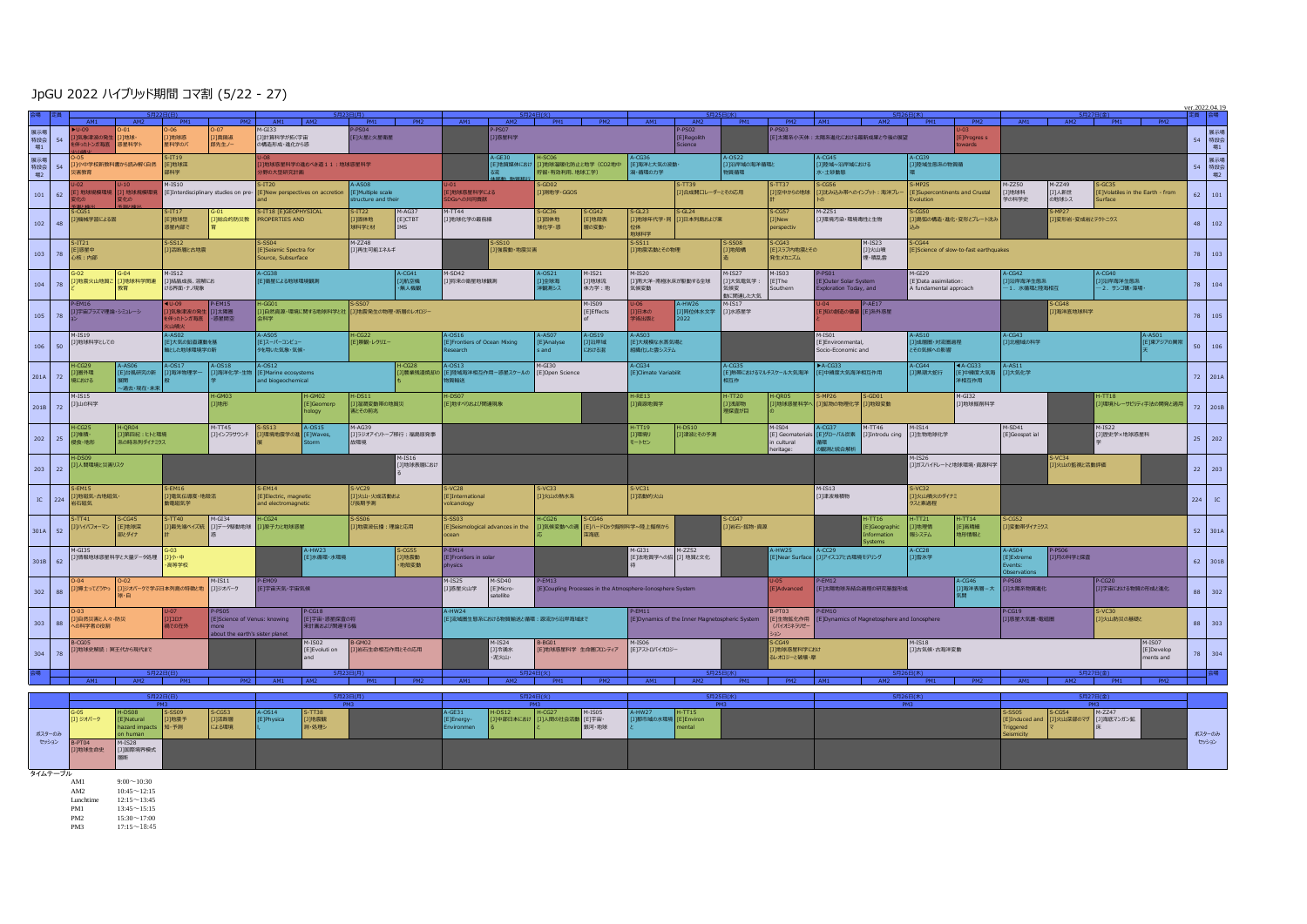## JpGU 2022 ハイブリッド期間 コマ割 (5/22 - 27)

|                  |                                            | AM1<br>AM2                                                                      |                                                                        |                                                    | AM1                                                                             | <b>C月22日/月</b>                                          | PM1                                  | PM2                       | AM1                                                      | AM2                                                  | PM1                                                                   | PM2                                                      | AM1                                              | AM2                                                   | 5月25日(水)<br>PM1                        | PM2                                                  | AM1                                                                 |                                             | 5日26日(木)<br>AM2 PM1                              | PM2                                                         | AM1                                                         | AM2                                                   | PM1 PM2                              | 定員 会場            |         |
|------------------|--------------------------------------------|---------------------------------------------------------------------------------|------------------------------------------------------------------------|----------------------------------------------------|---------------------------------------------------------------------------------|---------------------------------------------------------|--------------------------------------|---------------------------|----------------------------------------------------------|------------------------------------------------------|-----------------------------------------------------------------------|----------------------------------------------------------|--------------------------------------------------|-------------------------------------------------------|----------------------------------------|------------------------------------------------------|---------------------------------------------------------------------|---------------------------------------------|--------------------------------------------------|-------------------------------------------------------------|-------------------------------------------------------------|-------------------------------------------------------|--------------------------------------|------------------|---------|
| 展示場<br>特設会<br>場1 | 54                                         | -06<br>]地球感<br>[J]真鍋淑<br>気象津波の発生<br>门地球<br>星科学のバ<br>郎先生ノー<br>半ったトンガ海底 惑星科学ト     |                                                                        | $l$ -GI33<br>□計算科学が拓く宇宙<br>の構造形成・進化から惑             |                                                                                 | EI火星と火星衛星                                               |                                      |                           | P-PS07<br>[J]惑星科学                                        |                                                      |                                                                       |                                                          | -PS02<br>E]Regolith<br>Sence                     |                                                       |                                        | ET太陽系小天体:太陽系進化における最新成果と今後の展望                         |                                                                     | E]Progres s                                 |                                                  |                                                             |                                                             |                                                       | 54                                   | 展示場<br>特設会<br>場1 |         |
| 展示場<br>特設会<br>場2 | 54                                         | リ小中学校新教科書から読み解く自然<br>清教育                                                        | $-TT19$<br>[E]地球深<br>334 学                                             |                                                    | 地球惑星科学の進むべき道11:地球惑星科学<br>野の大型研究計画                                               |                                                         |                                      |                           |                                                          | $A-GE30$<br>[E]地質媒体におけ                               | [J]地球温暖化防止と地学 (CO2地中<br>庁留·有効利用、地球工学)                                 |                                                          | [E]海洋と大気の波動·<br>骨・循環の力学                          |                                                       | $-0522$<br>[]沿岸域の海洋循環と<br>物質循環         |                                                      | K·土砂動態                                                              | ]陸域~沿岸域における                                 |                                                  | $-CG39$<br>31陸域生態系の物質循                                      |                                                             |                                                       |                                      |                  | 場2      |
| 101              | 62                                         | $4 - 1510$<br>地球規模環境<br>3] 地球規模環境<br>[E]Interdisciplinary studies on pre        |                                                                        | TT <sub>20</sub><br>New perspectives on accretion  |                                                                                 | <b>8024-4</b><br>E]Multiple scale<br>tructure and their |                                      | 地球惑星科学による<br>DGsへの共同貢献    |                                                          | GD02<br>J 测地学·GGOS                                   |                                                                       | S-TT39<br>〕合成閘口レーダーとその応用                                 |                                                  | S-TT37<br>[J]空中からの地球                                  |                                        | $-0.556$<br>】『沈み込み帯へのインプット: 海洋プレ                     |                                                                     | $-MP25$<br>volution                         | E]Supercontinents and Crustal                    | $M-ZZ50$<br>〕地球科<br>学の科学史                                   | $4 - 2249$<br>[J]人新世<br>の地球シス                               | $-GC35$<br>E]Volatiles in the Earth - from<br>Surface | 62                                   | 101              |         |
| 102              | 48                                         | -CG5:<br>1]機械学習による固                                                             | $S-TT17$<br>E]地球型<br>]総合的防災教<br>惑星内部で                                  |                                                    | -IT18 [E]GEOPHYSICAL<br>$-TT22$<br>PROPERTIES AND<br>圖体地<br>地科学と材               |                                                         |                                      | M-AG37<br>[Е]СТВТ<br>TMS. | $M-TT44$<br>[J]地球化学の最前線                                  |                                                      | $-GC36$<br>川国体地<br>速化学·感                                              | [E]地殻表<br>層の変動                                           |                                                  | $S-GL24$<br>]地球年代学·同 [J]日本列島および東                      |                                        | S-CG57<br>J]New<br>perspectiv                        | M-ZZ51<br>]  環境汚染・環境毒性と生物                                           |                                             | .ccso<br>1]島弧の構造・進化・変形とプレート沈み                    |                                                             | $S-MP27$<br>コ変形岩・変成岩とテクトニクス                                 |                                                       |                                      | 48               | 102     |
| 103              | 78                                         | $S-SS12$<br>$5 - 1121$<br>日活断層と古地震<br>[E]惑星中<br>心核:内部                           |                                                                        |                                                    | $M-ZZ48$<br>$-SS04$<br>Seismic Spectra for<br>[J]再生可能エネルギ<br>Source, Subsurface |                                                         |                                      |                           |                                                          | S-SS10<br>[J]強震動·地震災害                                |                                                                       | $-SS11$<br>J地震活動とその物理                                    |                                                  |                                                       | $-SSO8$<br><b>J]地殻構</b><br>発生メカニズム     |                                                      | $M-IS23$<br>[E]スラブ内地震とその<br>[J]火山噴<br>煙·積乱雲                         |                                             | $-CG44$<br>E]Science of slow-to-fast earthquakes |                                                             |                                                             |                                                       |                                      | 78               | 103     |
| 104              | 78                                         | G-02<br>$G-04$<br>[J]地震火山地質こ<br>[J]地球科学関連                                       | $4 - 1512$<br>[〕「結晶成長、溶解にお<br>おのこ ナノ現象                                 |                                                    | $4-CG38$<br>「ET衛星による地球環境観測                                                      |                                                         | $A-CG41$<br>[J]航空機<br>・無人機観          |                           | M-SD42<br>[J]将来の衛星地球観測                                   |                                                      | $A-OS21$<br>[J]全球海<br>半観測シス                                           | $M-IS21$<br>[J]地球流<br>体力学:地                              | $4-IS20$<br>[J]南大洋・南極氷床が駆動する全球<br>気候変動           |                                                       | $M-IS27$<br>]]大気電気学<br>気候変<br>加に関連した大気 | $M-IS03$<br>[E]The<br>Southern                       | $M - GI29$<br>PS01<br>E]Outer Solar System<br>xploration Today, and |                                             |                                                  | [E]Data assimilation:<br>A fundamental approach             |                                                             | <b>J)沿岸海洋生態系</b><br>-1. 水循環と陸海相互                      | $-CG40$<br>] 沿岸海洋生態系<br>-2. サンゴ礁·藻場· | 78               | 104     |
| 105              | 78                                         | 宇宙プラズマ理論・シミュレーシ                                                                 | ◀U-09 P-EM15<br><mark>J]気象津波の発生 [J]太陽圏</mark><br>ヒ伴ったトンガ海底 - 惑星間空      |                                                    | $-GG01$<br>]自然資源・環境に関する地球科学と社<br>会科学                                            |                                                         | コ地震発生の物理·断層のレオロジー                    |                           |                                                          |                                                      |                                                                       | M-IS09<br>[E]Effects                                     | 旧本の<br>結出版と                                      | -HW26<br>]]同位体水文学<br>2022                             | $M-IS17$<br>[J]水惑星学                    |                                                      | -04<br>E]知の創造の価値 [E]系外惑星                                            |                                             |                                                  |                                                             | $-CG48$<br>] 海洋底地球科学                                        |                                                       |                                      | 78 105           |         |
| 106              | 50                                         | $M-IS19$<br>[J]地球科学としての                                                         | E]大気の鉛直運動を基<br>地とした地球環境学の新                                             |                                                    | <b>A-AS05</b><br>[E]スーパーコンピュー<br>.<br>9を用いた気象・気候・                               |                                                         | CG22<br>E1景観·レクリエー                   |                           |                                                          | $-0516$<br>[E]Frontiers of Ocean Mixing<br>esearch   |                                                                       | $A-OS19$<br>[J]沿岸域<br>における混                              | $A-ASO3$<br>E]大規模な水蒸気場と<br>目織化した雲システム            |                                                       |                                        |                                                      | $M-IS01$<br>E]Environmental,<br>Socio-Economic and                  |                                             | $A-AS10$<br>]成層圏・対流圏過程<br>その気候への影響               |                                                             | A-CG43<br>3]北極域の科学                                          |                                                       | $A-ASO1$<br>[E]東アジアの異常               | 50               | 106     |
| 201A             | 72                                         | 1-0629<br>4-AS06<br>E]台風研究の新<br>]图外環<br>境における<br>○過去・現在・未来                      | A-OS17<br>A-OS18<br>[J]海洋物理学一                                          |                                                    | $A-OS12$<br>] 海洋化学·生物 [E] Marine ecosystems<br>and biogeochemical               |                                                         | $-CG28$                              |                           | $A-OS13$<br>]農業残渣焼却の [E]陸域海洋相互作用-惑星スケールの<br>解給送          |                                                      | M-GI30<br>[E]Open Science                                             |                                                          | $A-CG34$<br>E]Climate Variabilit                 |                                                       | $A-CG35$                               | E]熱帯におけるマルチスケール大気海洋 [E]中緯度大気海洋相互作用                   |                                                                     | $A-CG33$                                    |                                                  | A-CG44<br>[J]黒潮大蛇行<br>$4A-CG33$<br>[E]中緯度大気海<br>洋相互作用       |                                                             | A-AS11<br>[J]大気化学                                     |                                      | 72 201A          |         |
| 201B             | 72                                         | $M-IS15$<br>-GM03<br>[J]山の科学<br>1地形                                             |                                                                        | -GM02<br>[E]Geomorp<br>ypolo                       |                                                                                 | $-DS11$<br>をとその前兆                                       | 31湿潤変動帯の地質災                          |                           | $H-DSO7$<br>[E]地すべりおよび関連現象                               |                                                      |                                                                       |                                                          | $H-RE13$<br>$+TT20$<br>1) 資源地質学<br>]浅部物<br>理探査が目 |                                                       | I-QR05                                 | $-MP26$<br>$S-GD01$<br>[J]地球惑星科学へ [J]鉱物の物理化学 [J]地殻変動 |                                                                     | $M-GI32$<br>[J]地球掘削科学                       |                                                  |                                                             |                                                             | $+TT18$<br>[J]環境トレーサビリティ手法の開発と適用                      |                                      | 72 201B          |         |
| 202              | 25                                         | $-CG25$<br>11维稿 -<br>11第四紀: トトと環境<br>侵食·地形<br>系の時系列ダイナミクス                       |                                                                        | $M-TT45$<br><b>SS13</b><br>[J]インフラサウンド<br>日環境地震学の進 |                                                                                 | $-0515$<br><b>ETWaves</b>                               | $-AG39$<br>31ラジオアイソトープ移行:福島原発事<br>環境 |                           |                                                          |                                                      |                                                                       |                                                          | $+TT19$<br>$-DS10$<br>コンネ波とその予測<br>)環境リ<br>ートセン  |                                                       |                                        | M-ISO4<br>[E] Geomaterials<br>cultural<br>eritane    | $-CG37$<br>観測と統合解析                                                  | <b>M-TT46</b><br>[E]グローバル炭素 [J]Introdu cing | M-IS14<br>[J]生物地球化学                              |                                                             | M-SD41<br>[E]Geospat ial                                    |                                                       | $M-IS22$<br>[J]歷史学×地球惑星科             | 25               | 202     |
|                  | $H-DS09$<br>[1]人間環境と災害リスク<br>203<br>$22\,$ |                                                                                 |                                                                        |                                                    |                                                                                 |                                                         | $M-IS16$<br>[J]地球表層におけ               |                           |                                                          |                                                      |                                                                       |                                                          |                                                  |                                                       |                                        |                                                      |                                                                     | $M-IS26$<br>[J]ガスハイドレートと地球環境·資源科学           |                                                  | $S-VC34$<br>31火山の監視と活動評価                                    |                                                             |                                                       |                                      | 22 203           |         |
| $IC$             | 224                                        | $S-EM15$<br>$S-EM16$<br>J]地磁気·古地磁気·<br>]電気伝導度·地殻活<br>動電磁気学<br>岩石磁気              |                                                                        |                                                    | $-EM14$<br>E]Electric, magnetic<br>and electromagnetic                          |                                                         | ]火山・火成活動およ<br>び長期予測                  |                           | 5-VC28<br>[International<br>volcanology                  |                                                      | $S-VC33$<br>[J]火山の熱水系                                                 |                                                          | S-VC31<br>]活動的火山                                 |                                                       |                                        |                                                      |                                                                     | M-IS13<br>[J]津波堆積物                          |                                                  | $S-VC32$<br>]火山噴火のダイナミ<br>ウスと素通程                            |                                                             |                                                       |                                      | 224              | IC      |
| 301A             | 52                                         | $S-TT41$<br>$S-CG45$<br>[E]地球深<br>[J]ハイパフォーマン<br>吸ダイナ                           | S-TT40 M-GI34 H-CG24<br>[J]最先端ベイズ統 [J]データ駆動地球 <mark>[J]原子力と地球惑星</mark> |                                                    |                                                                                 | $-SS06$                                                 |                                      | [J]地震波伝播:理論と応用            |                                                          | 5-559-2<br>[E]Seismological advances in the<br>ocean |                                                                       | $-0.0026$<br>$S-CG46$<br>[J]気候変動への適 EEJハードロック掘削科学~陸上掘削から |                                                  |                                                       |                                        | $-CG47$<br>[J]岩石・鉱物・資源                               |                                                                     | $-TT16$<br>E]Geographic<br>formation        |                                                  | $H - TT21$<br>$+TT14$<br>[J]地理情<br>[E]高精細<br>報システム<br>地形情報と |                                                             | $-CGS2$<br>3]変動帯ダイナミクス                                |                                      | 52 301A          |         |
| 301B             | 62                                         | $M-GI35$<br>[〕情報地球惑星科学と大量データ処理<br>$[1]$ 小中<br>高等学校                              |                                                                        |                                                    | A-HW23<br>「E1水循環·水環境」                                                           |                                                         | $-CGS5$<br>川地震動<br>地殻変動              |                           | $P-EM14$<br><b>IFIErontiers in solar</b><br>physics      |                                                      |                                                                       |                                                          | $4 - GI31$<br>$M-ZZ52$<br>FF技地質学への招 「11 地質と文化    |                                                       |                                        | -HW25<br><b>ElNear Surface</b>                       | $-CC29$<br>コアイスコアと古現境モデリング                                          |                                             | $A-CC28$<br>门雪水学                                 |                                                             | $-AS04$<br>P-PS06<br>[J]月の科学と探査<br>E]Extreme<br>bservation: |                                                       |                                      |                  | 62 301B |
| 302              | 88                                         | $4$ -IS11<br>川博士ってどうやっ<br>[コ]ジオバークで学ぶ日本列島の特徴と地<br>球・白                           |                                                                        | [コ]ジオバーク                                           | [E]宇宙天気·宇宙気候                                                                    |                                                         |                                      |                           | $M-IS25$<br>M-SD40<br>[J]惑星火山学<br>[E]Micro-<br>satellite |                                                      | $P-EM13$<br>[E]Coupling Processes in the Atmosphere-Ionosphere System |                                                          |                                                  |                                                       | E]Advanced                             |                                                      | -EM12<br>E]太陽地球系結合過程の研究基盤形成                                         |                                             | [ <b>J]海洋表層 – 大</b>                              |                                                             | [J]太陽系物質進化                                                  |                                                       | -CG20<br>[1]宇宙における物質の形成と進化           |                  | 88 302  |
| 303              | 88                                         | 日島然災害と人々・防災<br>+מכנג<br>の科学者の役割<br>禍での在外<br>nore                                |                                                                        | E]Science of Venus: knowing                        | $-CG18$<br>[E]宇宙·惑星探査の将<br>を計画および関連する機                                          |                                                         |                                      |                           |                                                          | $A-HW24$<br>[E]流域圏生態系における物質輸送と循環:源流から沿岸海域まで          |                                                                       |                                                          |                                                  | EM11<br>E]Dynamics of the Inner Magnetospheric System |                                        | (バイオミネラリゼ                                            | -EM10<br>E]生物鉱化作用 [E]Dynamics of Magnetosphere and Ionosphere       |                                             |                                                  |                                                             | $-CG19$<br>) 惑星大気圏·電磁圏                                      |                                                       | $S-VC30$<br>コ火山防災の基礎と                | 88               | 303     |
| 304              | <b>B-CG05</b><br>]]地球史解読:冥王代から現代まで         |                                                                                 | bout the earth's sister plar                                           |                                                    | M-TSO2<br>[E]Evoluti on                                                         |                                                         | $-GMD2$<br>川岩石生命相互作用とその応用            |                           | $M-IS24$<br>[J]冷漠水<br>・泥火山・                              |                                                      | B-BG01<br>[E]地球惑星科学 生命圏フロンティア                                         |                                                          | M-TS06<br>[E]アストロバイオロジー                          |                                                       |                                        | $-0.649$<br>]地球惑星科学におけ<br>レオロジーと破壊・摩                 |                                                                     |                                             | $M-TS18$<br>[J]古気候・古海洋変動                         |                                                             | $M-TSD7$<br>[E]Develop<br>ments and                         |                                                       |                                      | 78               | 304     |
|                  |                                            | AM1                                                                             |                                                                        |                                                    | AM1                                                                             |                                                         |                                      |                           |                                                          |                                                      |                                                                       |                                                          |                                                  |                                                       |                                        |                                                      |                                                                     |                                             |                                                  |                                                             |                                                             |                                                       |                                      |                  |         |
|                  |                                            | <b>RO2G-F</b><br>$A-OS14$<br>$G-05$<br>S-SS09<br>$S-CGS3$<br>-TT38              |                                                                        |                                                    |                                                                                 |                                                         |                                      | $A - GF - 31$             | $+DS12$                                                  | $H-CG27$                                             | $M-IS05$                                                              | A-HW27                                                   | $+TT15$                                          |                                                       |                                        | PM3                                                  |                                                                     |                                             |                                                  | M-ZZ47<br>$-SSOS$<br>$-CGS4$                                |                                                             |                                                       |                                      |                  |         |
|                  | ポスターのみ<br>セッション                            | [J] ジオバーク<br>[E]Natural<br>hazard impacts<br>n human<br>B-PT04<br><b>M-TS28</b> | <b>J]地震予</b><br>知·予測                                                   | [J]活断層<br>による環境                                    | [E]Physica                                                                      | ]地震観<br>#小処理                                            |                                      |                           | [E]Energy-<br>invironmer                                 | 1仲部日本におけ                                             | [J]人間の社会活動 [E]宇宙·                                                     | 錫河·地球                                                    | 清肺市域の水環境                                         | E]Environ<br>ental                                    |                                        |                                                      |                                                                     |                                             |                                                  |                                                             | E]Induced an<br>riggered                                    | [J]火山深部のマグ                                            | [J]海底マンガン鉱                           | ポスターのみ<br>セッション  |         |
|                  | [J]国際境界模式<br>门地球生命史<br>タイムテーブル             |                                                                                 |                                                                        |                                                    |                                                                                 |                                                         |                                      |                           |                                                          |                                                      |                                                                       |                                                          |                                                  |                                                       |                                        |                                                      |                                                                     |                                             |                                                  |                                                             |                                                             |                                                       |                                      |                  |         |

ver.2022.04.19

AM1 9:00~10:30 AM2 10:45~12:15

AM2<br>
Lunchtime 12:15~13:45<br>
PM1 13:45~15:15<br>
PM2 15:30~17:00

PM1 13:45∼15:15<br>PM2 15:30∼17:00<br>PM3 17:15∼18:45